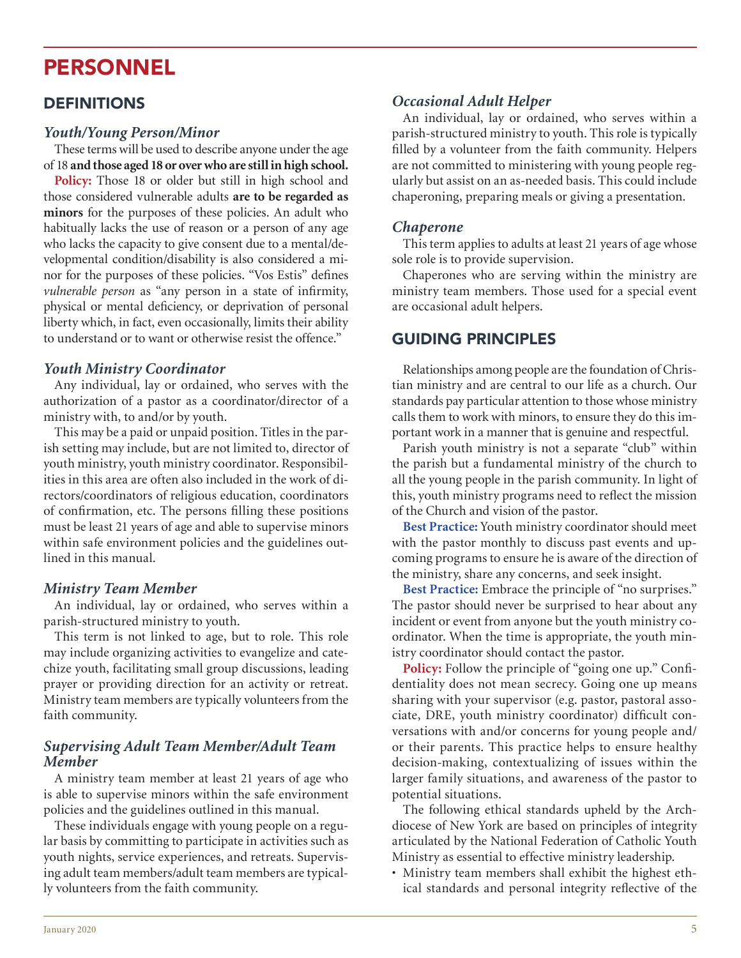# PERSONNEL

## DEFINITIONS

#### *Youth/Young Person/Minor*

These terms will be used to describe anyone under the age of 18 and those aged 18 or over who are still in high school.

Policy: Those 18 or older but still in high school and those considered vulnerable adults are to be regarded as minors for the purposes of these policies. An adult who habitually lacks the use of reason or a person of any age who lacks the capacity to give consent due to a mental/developmental condition/disability is also considered a minor for the purposes of these policies. "Vos Estis" defines *vulnerable person* as "any person in a state of infirmity, physical or mental deficiency, or deprivation of personal liberty which, in fact, even occasionally, limits their ability to understand or to want or otherwise resist the offence."

#### *Youth Ministry Coordinator*

Any individual, lay or ordained, who serves with the authorization of a pastor as a coordinator/director of a ministry with, to and/or by youth.

This may be a paid or unpaid position. Titles in the parish setting may include, but are not limited to, director of youth ministry, youth ministry coordinator. Responsibilities in this area are often also included in the work of directors/coordinators of religious education, coordinators of confirmation, etc. The persons filling these positions must be least 21 years of age and able to supervise minors within safe environment policies and the guidelines outlined in this manual.

#### *Ministry Team Member*

An individual, lay or ordained, who serves within a parish-structured ministry to youth.

This term is not linked to age, but to role. This role may include organizing activities to evangelize and catechize youth, facilitating small group discussions, leading prayer or providing direction for an activity or retreat. Ministry team members are typically volunteers from the faith community.

### **Supervising Adult Team Member/Adult Team** *Member*

A ministry team member at least 21 years of age who is able to supervise minors within the safe environment policies and the guidelines outlined in this manual.

These individuals engage with young people on a regular basis by committing to participate in activities such as youth nights, service experiences, and retreats. Supervising adult team members/adult team members are typically volunteers from the faith community.

#### *Occasional Adult Helper*

An individual, lay or ordained, who serves within a parish-structured ministry to youth. This role is typically filled by a volunteer from the faith community. Helpers are not committed to ministering with young people regularly but assist on an as-needed basis. This could include chaperoning, preparing meals or giving a presentation.

#### *Chaperone*

This term applies to adults at least 21 years of age whose sole role is to provide supervision.

Chaperones who are serving within the ministry are ministry team members. Those used for a special event are occasional adult helpers.

## GUIDING PRINCIPLES

Relationships among people are the foundation of Christian ministry and are central to our life as a church. Our standards pay particular attention to those whose ministry calls them to work with minors, to ensure they do this important work in a manner that is genuine and respectful.

Parish youth ministry is not a separate "club" within the parish but a fundamental ministry of the church to all the young people in the parish community. In light of this, youth ministry programs need to reflect the mission of the Church and vision of the pastor.

**Best Practice:** Youth ministry coordinator should meet with the pastor monthly to discuss past events and upcoming programs to ensure he is aware of the direction of the ministry, share any concerns, and seek insight.

Best Practice: Embrace the principle of "no surprises." The pastor should never be surprised to hear about any incident or event from anyone but the youth ministry coordinator. When the time is appropriate, the youth ministry coordinator should contact the pastor.

**Policy:** Follow the principle of "going one up." Confidentiality does not mean secrecy. Going one up means sharing with your supervisor (e.g. pastor, pastoral associate, DRE, youth ministry coordinator) difficult conversations with and/or concerns for young people and/ or their parents. This practice helps to ensure healthy decision-making, contextualizing of issues within the larger family situations, and awareness of the pastor to potential situations.

The following ethical standards upheld by the Archdiocese of New York are based on principles of integrity articulated by the National Federation of Catholic Youth Ministry as essential to effective ministry leadership.

• Ministry team members shall exhibit the highest ethical standards and personal integrity reflective of the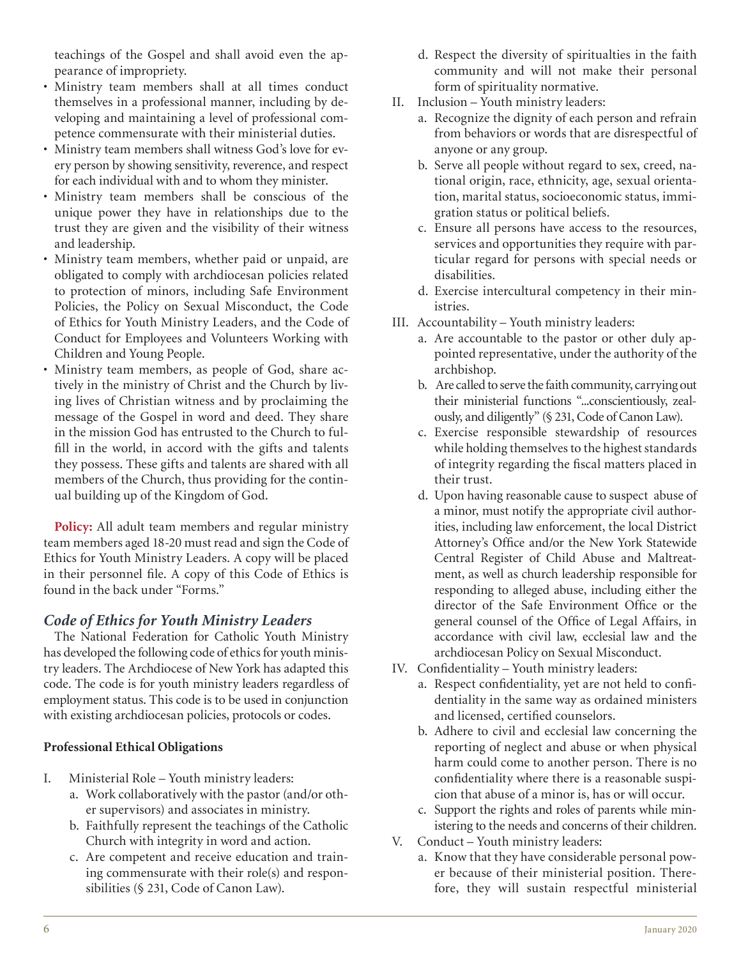teachings of the Gospel and shall avoid even the appearance of impropriety.

- Ministry team members shall at all times conduct themselves in a professional manner, including by developing and maintaining a level of professional competence commensurate with their ministerial duties.
- Ministry team members shall witness God's love for every person by showing sensitivity, reverence, and respect for each individual with and to whom they minister.
- Ministry team members shall be conscious of the unique power they have in relationships due to the trust they are given and the visibility of their witness and leadership.
- Ministry team members, whether paid or unpaid, are obligated to comply with archdiocesan policies related to protection of minors, including Safe Environment Policies, the Policy on Sexual Misconduct, the Code of Ethics for Youth Ministry Leaders, and the Code of Conduct for Employees and Volunteers Working with Children and Young People.
- Ministry team members, as people of God, share actively in the ministry of Christ and the Church by living lives of Christian witness and by proclaiming the message of the Gospel in word and deed. They share in the mission God has entrusted to the Church to fulfill in the world, in accord with the gifts and talents they possess. These gifts and talents are shared with all members of the Church, thus providing for the continual building up of the Kingdom of God.

Policy: All adult team members and regular ministry team members aged 18-20 must read and sign the Code of Ethics for Youth Ministry Leaders. A copy will be placed in their personnel file. A copy of this Code of Ethics is found in the back under "Forms."

## **Code of Ethics for Youth Ministry Leaders**

The National Federation for Catholic Youth Ministry has developed the following code of ethics for youth ministry leaders. The Archdiocese of New York has adapted this code. The code is for youth ministry leaders regardless of employment status. This code is to be used in conjunction with existing archdiocesan policies, protocols or codes.

#### **Professional Ethical Obligations**

- I. Ministerial Role Youth ministry leaders:
	- a. Work collaboratively with the pastor (and/or other supervisors) and associates in ministry.
	- b. Faithfully represent the teachings of the Catholic Church with integrity in word and action.
	- c. Are competent and receive education and training commensurate with their role(s) and responsibilities (§ 231, Code of Canon Law).
- d. Respect the diversity of spiritualties in the faith community and will not make their personal form of spirituality normative.
- II. Inclusion Youth ministry leaders:
	- a. Recognize the dignity of each person and refrain from behaviors or words that are disrespectful of anyone or any group.
	- b. Serve all people without regard to sex, creed, national origin, race, ethnicity, age, sexual orientation, marital status, socioeconomic status, immigration status or political beliefs.
	- c. Ensure all persons have access to the resources, services and opportunities they require with particular regard for persons with special needs or disabilities.
	- d. Exercise intercultural competency in their ministries.
- III. Accountability Youth ministry leaders:
	- a. Are accountable to the pastor or other duly appointed representative, under the authority of the archbishop.
	- b. Are called to serve the faith community, carrying out their ministerial functions "...conscientiously, zealously, and diligently" (§ 231, Code of Canon Law).
	- c. Exercise responsible stewardship of resources while holding themselves to the highest standards of integrity regarding the fiscal matters placed in their trust.
	- d. Upon having reasonable cause to suspect abuse of a minor, must notify the appropriate civil authorities, including law enforcement, the local District Attorney's Office and/or the New York Statewide Central Register of Child Abuse and Maltreatment, as well as church leadership responsible for responding to alleged abuse, including either the director of the Safe Environment Office or the general counsel of the Office of Legal Affairs, in accordance with civil law, ecclesial law and the archdiocesan Policy on Sexual Misconduct.
- IV. Confidentiality Youth ministry leaders:
	- a. Respect confidentiality, yet are not held to confidentiality in the same way as ordained ministers and licensed, certified counselors.
	- b. Adhere to civil and ecclesial law concerning the reporting of neglect and abuse or when physical harm could come to another person. There is no confidentiality where there is a reasonable suspicion that abuse of a minor is, has or will occur.
	- c. Support the rights and roles of parents while ministering to the needs and concerns of their children.
- V. Conduct Youth ministry leaders:
	- a. Know that they have considerable personal power because of their ministerial position. Therefore, they will sustain respectful ministerial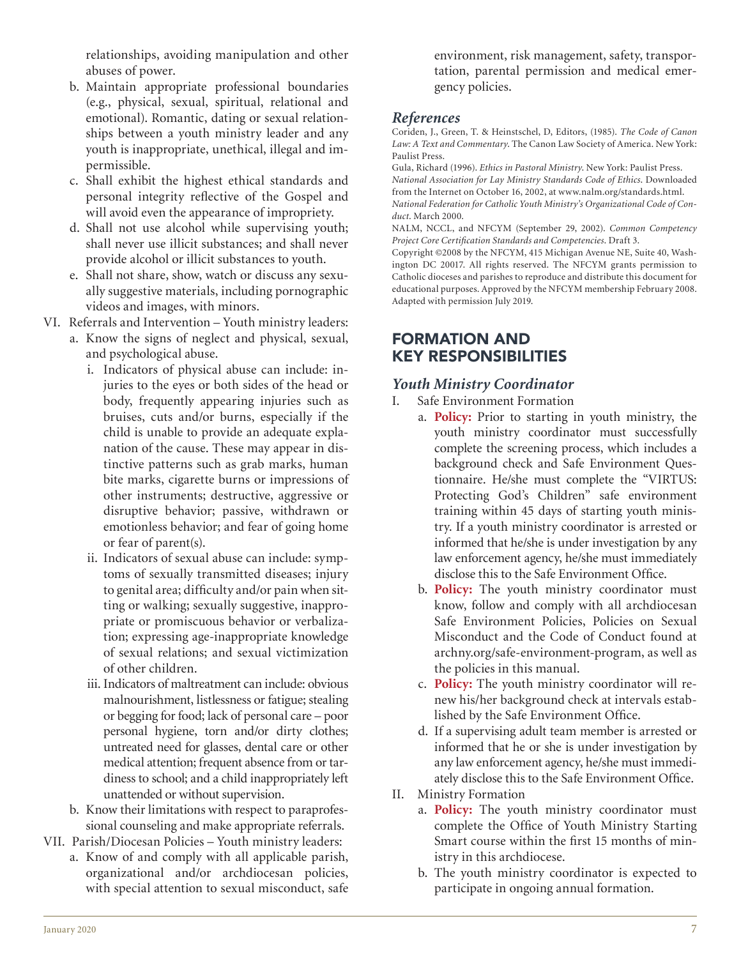relationships, avoiding manipulation and other abuses of power.

- b. Maintain appropriate professional boundaries (e.g., physical, sexual, spiritual, relational and emotional). Romantic, dating or sexual relationships between a youth ministry leader and any youth is inappropriate, unethical, illegal and impermissible.
- c. Shall exhibit the highest ethical standards and personal integrity reflective of the Gospel and will avoid even the appearance of impropriety.
- d. Shall not use alcohol while supervising youth; shall never use illicit substances; and shall never provide alcohol or illicit substances to youth.
- e. Shall not share, show, watch or discuss any sexually suggestive materials, including pornographic videos and images, with minors.

VI. Referrals and Intervention - Youth ministry leaders:

- a. Know the signs of neglect and physical, sexual, and psychological abuse.
	- i. Indicators of physical abuse can include: injuries to the eyes or both sides of the head or body, frequently appearing injuries such as bruises, cuts and/or burns, especially if the child is unable to provide an adequate explanation of the cause. These may appear in distinctive patterns such as grab marks, human bite marks, cigarette burns or impressions of other instruments; destructive, aggressive or disruptive behavior; passive, withdrawn or emotionless behavior; and fear of going home or fear of parent(s).
	- ii. Indicators of sexual abuse can include: symptoms of sexually transmitted diseases; injury to genital area; difficulty and/or pain when sitting or walking; sexually suggestive, inappropriate or promiscuous behavior or verbalization; expressing age-inappropriate knowledge of sexual relations; and sexual victimization of other children.
	- iii. Indicators of maltreatment can include: obvious malnourishment, listlessness or fatigue; stealing or begging for food; lack of personal care - poor personal hygiene, torn and/or dirty clothes; untreated need for glasses, dental care or other medical attention; frequent absence from or tardiness to school; and a child inappropriately left unattended or without supervision.
- b. Know their limitations with respect to paraprofessional counseling and make appropriate referrals.

VII. Parish/Diocesan Policies - Youth ministry leaders:

a. Know of and comply with all applicable parish, organizational and/or archdiocesan policies, with special attention to sexual misconduct, safe environment, risk management, safety, transportation, parental permission and medical emergency policies.

# *References*

Coriden, J., Green, T. & Heinstschel, D, Editors, (1985). The Code of Canon Law: A Text and Commentary. The Canon Law Society of America. New York: Paulist Press.

Gula, Richard (1996). Ethics in Pastoral Ministry. New York: Paulist Press. *National Association for Lay Ministry Standards Code of Ethics*. Downloaded from the Internet on October 16, 2002, at www.nalm.org/standards.html. *National Federation for Catholic Youth Ministry's Organizational Code of Con*duct. March 2000.

NALM, NCCL, and NFCYM (September 29, 2002). Common Competency *Project Core Certification Standards and Competencies. Draft 3.* 

Copyright ©2008 by the NFCYM, 415 Michigan Avenue NE, Suite 40, Washington DC 20017. All rights reserved. The NFCYM grants permission to Catholic dioceses and parishes to reproduce and distribute this document for educational purposes. Approved by the NFCYM membership February 2008. Adapted with permission July 2019.

# FORMATION AND KEY RESPONSIBILITIES

# *Youth Ministry Coordinator*

- I. Safe Environment Formation
	- a. **Policy:** Prior to starting in youth ministry, the youth ministry coordinator must successfully complete the screening process, which includes a background check and Safe Environment Questionnaire. He/she must complete the "VIRTUS: Protecting God's Children" safe environment training within 45 days of starting youth ministry. If a youth ministry coordinator is arrested or informed that he/she is under investigation by any law enforcement agency, he/she must immediately disclose this to the Safe Environment Office.
	- b. **Policy:** The youth ministry coordinator must know, follow and comply with all archdiocesan Safe Environment Policies, Policies on Sexual Misconduct and the Code of Conduct found at archny.org/safe-environment-program, as well as the policies in this manual.
	- c. Policy: The youth ministry coordinator will renew his/her background check at intervals established by the Safe Environment Office.
	- d. If a supervising adult team member is arrested or informed that he or she is under investigation by any law enforcement agency, he/she must immediately disclose this to the Safe Environment Office.
- II. Ministry Formation
	- a. Policy: The youth ministry coordinator must complete the Office of Youth Ministry Starting Smart course within the first 15 months of ministry in this archdiocese.
	- b. The youth ministry coordinator is expected to participate in ongoing annual formation.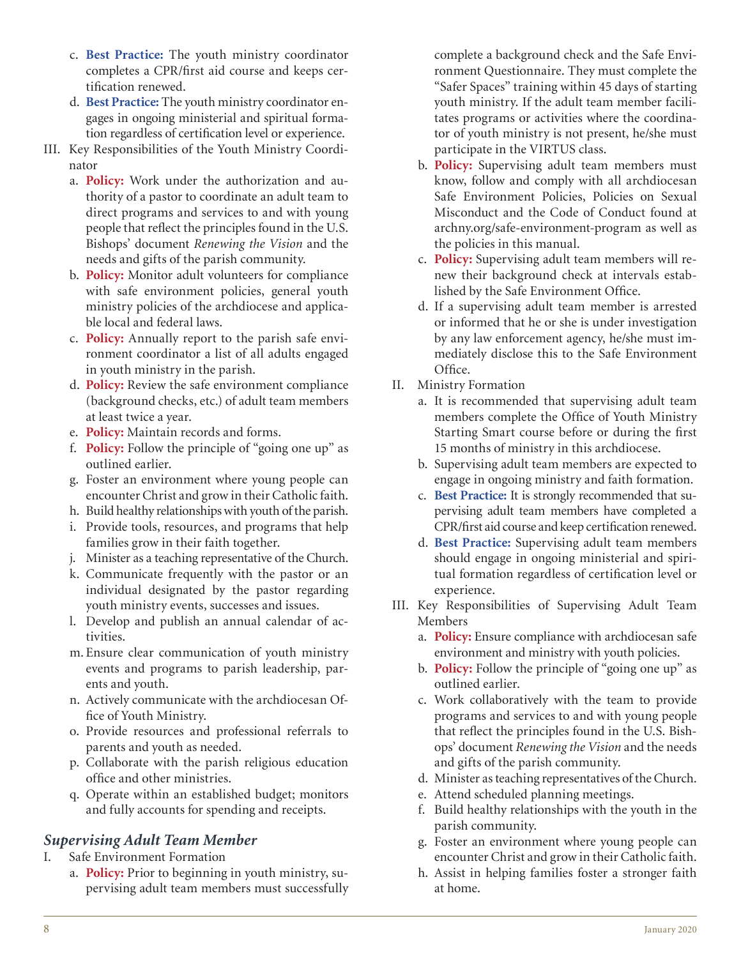- c. Best Practice: The youth ministry coordinator completes a CPR/first aid course and keeps certification renewed.
- d. Best Practice: The youth ministry coordinator engages in ongoing ministerial and spiritual formation regardless of certification level or experience.
- III. Key Responsibilities of the Youth Ministry Coordinator
	- a. **Policy:** Work under the authorization and authority of a pastor to coordinate an adult team to direct programs and services to and with young people that reflect the principles found in the U.S. Bishops' document *Renewing the Vision* and the needs and gifts of the parish community.
	- b. Policy: Monitor adult volunteers for compliance with safe environment policies, general youth ministry policies of the archdiocese and applicable local and federal laws.
	- c. **Policy:** Annually report to the parish safe environment coordinator a list of all adults engaged in youth ministry in the parish.
	- d. Policy: Review the safe environment compliance (background checks, etc.) of adult team members at least twice a year.
	- e. **Policy:** Maintain records and forms.
	- f. **Policy:** Follow the principle of "going one up" as outlined earlier.
	- g. Foster an environment where young people can encounter Christ and grow in their Catholic faith.
	- h. Build healthy relationships with youth of the parish.
	- i. Provide tools, resources, and programs that help families grow in their faith together.
	- j. Minister as a teaching representative of the Church.
	- k. Communicate frequently with the pastor or an individual designated by the pastor regarding youth ministry events, successes and issues.
	- l. Develop and publish an annual calendar of activities.
	- m. Ensure clear communication of youth ministry events and programs to parish leadership, parents and youth.
	- n. Actively communicate with the archdiocesan Office of Youth Ministry.
	- o. Provide resources and professional referrals to parents and youth as needed.
	- p. Collaborate with the parish religious education office and other ministries.
	- q. Operate within an established budget; monitors and fully accounts for spending and receipts.

# *Supervising Adult Team Member*

- I. Safe Environment Formation
	- a. Policy: Prior to beginning in youth ministry, supervising adult team members must successfully

complete a background check and the Safe Environment Questionnaire. They must complete the "Safer Spaces" training within 45 days of starting youth ministry. If the adult team member facilitates programs or activities where the coordinator of youth ministry is not present, he/she must participate in the VIRTUS class.

- b. Policy: Supervising adult team members must know, follow and comply with all archdiocesan Safe Environment Policies, Policies on Sexual Misconduct and the Code of Conduct found at archny.org/safe-environment-program as well as the policies in this manual.
- c. Policy: Supervising adult team members will renew their background check at intervals established by the Safe Environment Office.
- d. If a supervising adult team member is arrested or informed that he or she is under investigation by any law enforcement agency, he/she must immediately disclose this to the Safe Environment Office.
- II. Ministry Formation
	- a. It is recommended that supervising adult team members complete the Office of Youth Ministry Starting Smart course before or during the first 15 months of ministry in this archdiocese.
	- b. Supervising adult team members are expected to engage in ongoing ministry and faith formation.
	- c. Best Practice: It is strongly recommended that supervising adult team members have completed a CPR/first aid course and keep certification renewed.
	- d. Best Practice: Supervising adult team members should engage in ongoing ministerial and spiritual formation regardless of certification level or experience.
- III. Key Responsibilities of Supervising Adult Team Members
	- a. **Policy:** Ensure compliance with archdiocesan safe environment and ministry with youth policies.
	- b. **Policy:** Follow the principle of "going one up" as outlined earlier.
	- c. Work collaboratively with the team to provide programs and services to and with young people that reflect the principles found in the U.S. Bishops' document Renewing the Vision and the needs and gifts of the parish community.
	- d. Minister as teaching representatives of the Church.
	- e. Attend scheduled planning meetings.
	- f. Build healthy relationships with the youth in the parish community.
	- g. Foster an environment where young people can encounter Christ and grow in their Catholic faith.
	- h. Assist in helping families foster a stronger faith at home.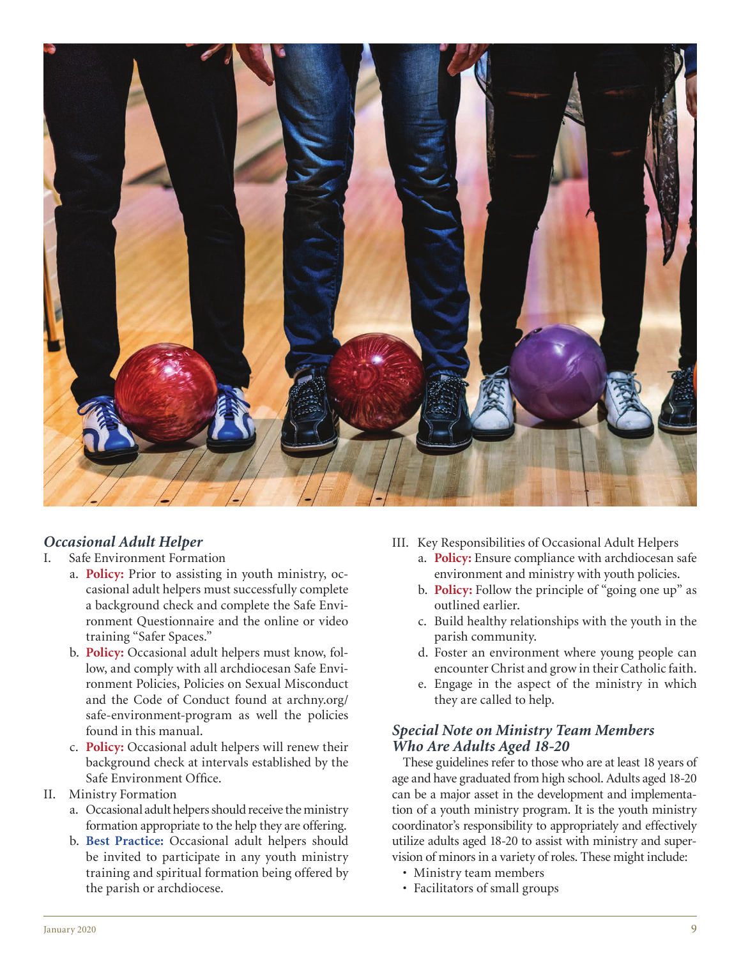

# *Occasional Adult Helper*

- I. Safe Environment Formation
	- a. **Policy:** Prior to assisting in youth ministry, occasional adult helpers must successfully complete a background check and complete the Safe Environment Questionnaire and the online or video training "Safer Spaces."
	- b. Policy: Occasional adult helpers must know, follow, and comply with all archdiocesan Safe Environment Policies, Policies on Sexual Misconduct and the Code of Conduct found at archny.org/ safe-environment-program as well the policies found in this manual.
	- c. **Policy:** Occasional adult helpers will renew their background check at intervals established by the Safe Environment Office.
- II. Ministry Formation
	- a. Occasional adult helpers should receive the ministry formation appropriate to the help they are offering.
	- b. Best Practice: Occasional adult helpers should be invited to participate in any youth ministry training and spiritual formation being offered by the parish or archdiocese.
- III. Key Responsibilities of Occasional Adult Helpers
	- a. **Policy:** Ensure compliance with archdiocesan safe environment and ministry with youth policies.
	- b. **Policy:** Follow the principle of "going one up" as outlined earlier.
	- c. Build healthy relationships with the youth in the parish community.
	- d. Foster an environment where young people can encounter Christ and grow in their Catholic faith.
	- e. Engage in the aspect of the ministry in which they are called to help.

## *Special Note on Ministry Team Members Who Are Adults Aged 18-20*

These guidelines refer to those who are at least 18 years of age and have graduated from high school. Adults aged 18-20 can be a major asset in the development and implementation of a youth ministry program. It is the youth ministry coordinator's responsibility to appropriately and effectively utilize adults aged 18-20 to assist with ministry and supervision of minors in a variety of roles. These might include:

- Ministry team members
- Facilitators of small groups